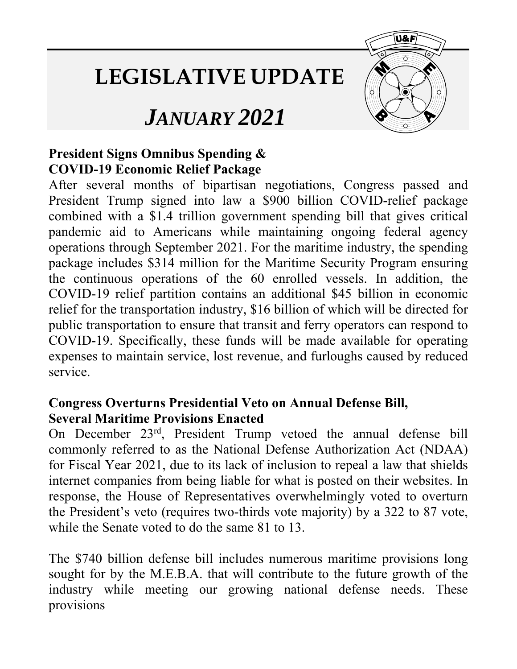## **LEGISLATIVE UPDATE**

**U&F** 

## *JANUARY 2021*

## **President Signs Omnibus Spending & COVID-19 Economic Relief Package**

After several months of bipartisan negotiations, Congress passed and President Trump signed into law a \$900 billion COVID-relief package combined with a \$1.4 trillion government spending bill that gives critical pandemic aid to Americans while maintaining ongoing federal agency operations through September 2021. For the maritime industry, the spending package includes \$314 million for the Maritime Security Program ensuring the continuous operations of the 60 enrolled vessels. In addition, the COVID-19 relief partition contains an additional \$45 billion in economic relief for the transportation industry, \$16 billion of which will be directed for public transportation to ensure that transit and ferry operators can respond to COVID-19. Specifically, these funds will be made available for operating expenses to maintain service, lost revenue, and furloughs caused by reduced service.

## **Congress Overturns Presidential Veto on Annual Defense Bill, Several Maritime Provisions Enacted**

On December 23rd, President Trump vetoed the annual defense bill commonly referred to as the National Defense Authorization Act (NDAA) for Fiscal Year 2021, due to its lack of inclusion to repeal a law that shields internet companies from being liable for what is posted on their websites. In response, the House of Representatives overwhelmingly voted to overturn the President's veto (requires two-thirds vote majority) by a 322 to 87 vote, while the Senate voted to do the same 81 to 13.

The \$740 billion defense bill includes numerous maritime provisions long sought for by the M.E.B.A. that will contribute to the future growth of the industry while meeting our growing national defense needs. These provisions